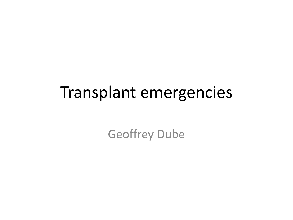#### Transplant emergencies

Geoffrey Dube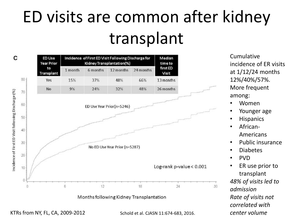# ED visits are common after kidney transplant



Cumulative incidence of ER visits at 1/12/24 months 12%/40%/57%. More frequent among:

- Women
- Younger age
- **Hispanics**
- African-Americans
- Public insurance
- Diabetes
- PVD
- ER use prior to transplant *48% of visits led to admission Rate of visits not correlated with*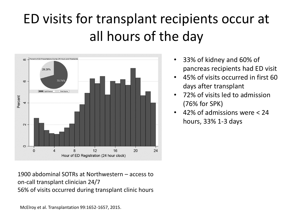#### ED visits for transplant recipients occur at all hours of the day



1900 abdominal SOTRs at Northwestern – access to on-call transplant clinician 24/7 56% of visits occurred during transplant clinic hours

- 33% of kidney and 60% of pancreas recipients had ED visit
- 45% of visits occurred in first 60 days after transplant
- 72% of visits led to admission (76% for SPK)
- 42% of admissions were < 24 hours, 33% 1-3 days

McElroy et al. Transplantation 99:1652-1657, 2015.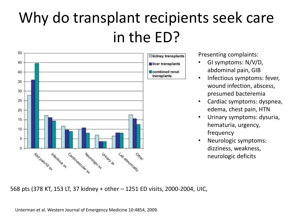#### Why do transplant recipients seek care in the ED?



Presenting complaints:

- GI symptoms: N/V/D, abdominal pain, GIB
- Infectious symptoms: fever, wound infection, abscess, presumed bacteremia
- Cardiac symptoms: dyspnea, edema, chest pain, HTN
- Urinary symptoms: dysuria, hematuria, urgency, frequency
- Neurologic symptoms: dizziness, weakness, neurologic deficits

568 pts (378 KT, 153 LT, 37 kidney + other – 1251 ED visits, 2000-2004, UIC,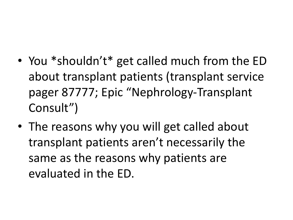- You \*shouldn't\* get called much from the ED about transplant patients (transplant service pager 87777; Epic "Nephrology-Transplant Consult")
- The reasons why you will get called about transplant patients aren't necessarily the same as the reasons why patients are evaluated in the ED.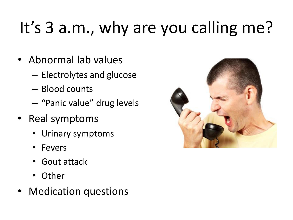# It's 3 a.m., why are you calling me?

- Abnormal lab values
	- Electrolytes and glucose
	- Blood counts
	- "Panic value" drug levels
- Real symptoms
	- Urinary symptoms
	- Fevers
	- Gout attack
	- Other
- Medication questions

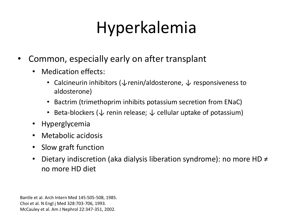# Hyperkalemia

- Common, especially early on after transplant
	- Medication effects:
		- Calcineurin inhibitors ( $\downarrow$  renin/aldosterone,  $\downarrow$  responsiveness to aldosterone)
		- Bactrim (trimethoprim inhibits potassium secretion from ENaC)
		- Beta-blockers ( $\downarrow$  renin release;  $\downarrow$  cellular uptake of potassium)
	- Hyperglycemia
	- Metabolic acidosis
	- Slow graft function
	- Dietary indiscretion (aka dialysis liberation syndrome): no more HD ≠ no more HD diet

Bantle et al. Arch Intern Med 145:505-508, 1985. Choi et al. N Engl j Med 328:703-706, 1993. McCauley et al. Am J Nephrol 22:347-351, 2002.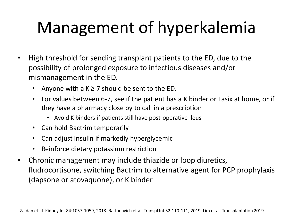# Management of hyperkalemia

- High threshold for sending transplant patients to the ED, due to the possibility of prolonged exposure to infectious diseases and/or mismanagement in the ED.
	- Anyone with a  $K \ge 7$  should be sent to the ED.
	- For values between 6-7, see if the patient has a K binder or Lasix at home, or if they have a pharmacy close by to call in a prescription
		- Avoid K binders if patients still have post-operative ileus
	- Can hold Bactrim temporarily
	- Can adjust insulin if markedly hyperglycemic
	- Reinforce dietary potassium restriction
- Chronic management may include thiazide or loop diuretics, fludrocortisone, switching Bactrim to alternative agent for PCP prophylaxis (dapsone or atovaquone), or K binder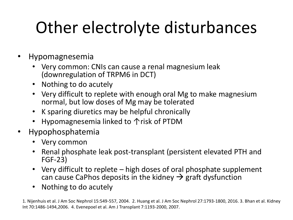### Other electrolyte disturbances

- Hypomagnesemia
	- Very common: CNIs can cause a renal magnesium leak (downregulation of TRPM6 in DCT)
	- Nothing to do acutely
	- Very difficult to replete with enough oral Mg to make magnesium normal, but low doses of Mg may be tolerated
	- K sparing diuretics may be helpful chronically
	- Hypomagnesemia linked to ↑risk of PTDM
- Hypophosphatemia
	- Very common
	- Renal phosphate leak post-transplant (persistent elevated PTH and FGF-23)
	- Very difficult to replete high doses of oral phosphate supplement can cause CaPhos deposits in the kidney  $\rightarrow$  graft dysfunction
	- Nothing to do acutely

1. Nijenhuis et al. J Am Soc Nephrol 15:549-557, 2004. 2. Huang et al. J Am Soc Nephrol 27:1793-1800, 2016. 3. Bhan et al. Kidney Int 70:1486-1494,2006. 4. Evenepoel et al. Am J Transplant 7:1193-2000, 2007.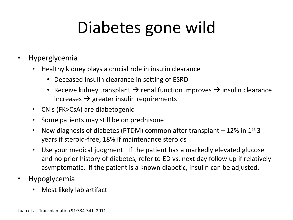# Diabetes gone wild

- Hyperglycemia
	- Healthy kidney plays a crucial role in insulin clearance
		- Deceased insulin clearance in setting of ESRD
		- Receive kidney transplant  $\rightarrow$  renal function improves  $\rightarrow$  insulin clearance increases  $\rightarrow$  greater insulin requirements
	- CNIs (FK>CsA) are diabetogenic
	- Some patients may still be on prednisone
	- New diagnosis of diabetes (PTDM) common after transplant  $-12\%$  in 1<sup>st</sup> 3 years if steroid-free, 18% if maintenance steroids
	- Use your medical judgment. If the patient has a markedly elevated glucose and no prior history of diabetes, refer to ED vs. next day follow up if relatively asymptomatic. If the patient is a known diabetic, insulin can be adjusted.
- Hypoglycemia
	- Most likely lab artifact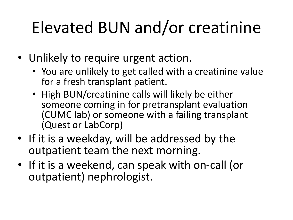# Elevated BUN and/or creatinine

- Unlikely to require urgent action.
	- You are unlikely to get called with a creatinine value for a fresh transplant patient.
	- High BUN/creatinine calls will likely be either someone coming in for pretransplant evaluation (CUMC lab) or someone with a failing transplant (Quest or LabCorp)
- If it is a weekday, will be addressed by the outpatient team the next morning.
- If it is a weekend, can speak with on-call (or outpatient) nephrologist.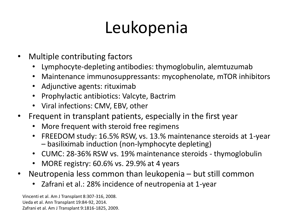# Leukopenia

- Multiple contributing factors
	- Lymphocyte-depleting antibodies: thymoglobulin, alemtuzumab
	- Maintenance immunosuppressants: mycophenolate, mTOR inhibitors
	- Adjunctive agents: rituximab
	- Prophylactic antibiotics: Valcyte, Bactrim
	- Viral infections: CMV, EBV, other
- Frequent in transplant patients, especially in the first year
	- More frequent with steroid free regimens
	- FREEDOM study: 16.5% RSW, vs. 13.% maintenance steroids at 1-year – basiliximab induction (non-lymphocyte depleting)
	- CUMC: 28-36% RSW vs. 19% maintenance steroids thymoglobulin
	- MORE registry: 60.6% vs. 29.9% at 4 years
- Neutropenia less common than leukopenia but still common
	- Zafrani et al.: 28% incidence of neutropenia at 1-year

Vincenti et al. Am J Transplant 8:307-316, 2008. Ueda et al. Ann Transplant 19:84-92, 2014. Zafrani et al. Am J Transplant 9:1816-1825, 2009.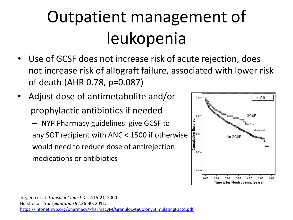# Outpatient management of leukopenia

- Use of GCSF does not increase risk of acute rejection, does not increase risk of allograft failure, associated with lower risk of death (AHR 0.78, p=0.087)
- Adjust dose of antimetabolite and/or prophylactic antibiotics if needed

– NYP Pharmacy guidelines: give GCSF to any SOT recipient with ANC < 1500 if otherwise would need to reduce dose of antirejection medications or antibiotics



Turgeon et al. *Transplant Infect Dis* 2:15-21*,* 2000. Hurst et al. *Transplantation* 92:36-40, 2011. <https://infonet.nyp.org/pharmacy/PharmacyM/GranulocyteColonyStimulatingFacto.pdf>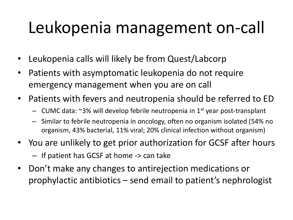#### Leukopenia management on-call

- Leukopenia calls will likely be from Quest/Labcorp
- Patients with asymptomatic leukopenia do not require emergency management when you are on call
- Patients with fevers and neutropenia should be referred to ED
	- $-$  CUMC data:  $\approx$ 3% will develop febrile neutropenia in 1<sup>st</sup> year post-transplant
	- Similar to febrile neutropenia in oncology, often no organism isolated (54% no organism, 43% bacterial, 11% viral; 20% clinical infection without organism)
- You are unlikely to get prior authorization for GCSF after hours
	- If patient has GCSF at home -> can take
- Don't make any changes to antirejection medications or prophylactic antibiotics – send email to patient's nephrologist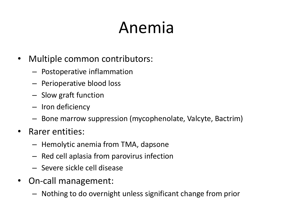#### Anemia

- Multiple common contributors:
	- Postoperative inflammation
	- Perioperative blood loss
	- Slow graft function
	- Iron deficiency
	- Bone marrow suppression (mycophenolate, Valcyte, Bactrim)
- Rarer entities:
	- Hemolytic anemia from TMA, dapsone
	- Red cell aplasia from parovirus infection
	- Severe sickle cell disease
- On-call management:
	- Nothing to do overnight unless significant change from prior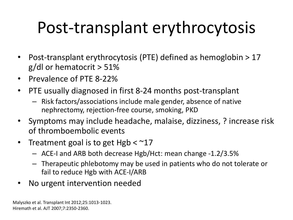# Post-transplant erythrocytosis

- Post-transplant erythrocytosis (PTE) defined as hemoglobin > 17 g/dl or hematocrit > 51%
- Prevalence of PTE 8-22%
- PTE usually diagnosed in first 8-24 months post-transplant
	- Risk factors/associations include male gender, absence of native nephrectomy, rejection-free course, smoking, PKD
- Symptoms may include headache, malaise, dizziness, ? increase risk of thromboembolic events
- Treatment goal is to get Hgb  $<$  ~17
	- ACE-I and ARB both decrease Hgb/Hct: mean change -1.2/3.5%
	- Therapeutic phlebotomy may be used in patients who do not tolerate or fail to reduce Hgb with ACE-I/ARB
- No urgent intervention needed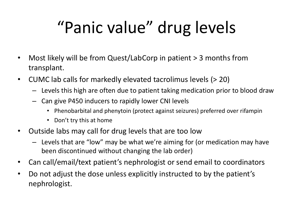# "Panic value" drug levels

- Most likely will be from Quest/LabCorp in patient > 3 months from transplant.
- CUMC lab calls for markedly elevated tacrolimus levels (> 20)
	- Levels this high are often due to patient taking medication prior to blood draw
	- Can give P450 inducers to rapidly lower CNI levels
		- Phenobarbital and phenytoin (protect against seizures) preferred over rifampin
		- Don't try this at home
- Outside labs may call for drug levels that are too low
	- Levels that are "low" may be what we're aiming for (or medication may have been discontinued without changing the lab order)
- Can call/email/text patient's nephrologist or send email to coordinators
- Do not adjust the dose unless explicitly instructed to by the patient's nephrologist.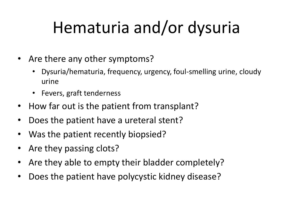# Hematuria and/or dysuria

- Are there any other symptoms?
	- Dysuria/hematuria, frequency, urgency, foul-smelling urine, cloudy urine
	- Fevers, graft tenderness
- How far out is the patient from transplant?
- Does the patient have a ureteral stent?
- Was the patient recently biopsied?
- Are they passing clots?
- Are they able to empty their bladder completely?
- Does the patient have polycystic kidney disease?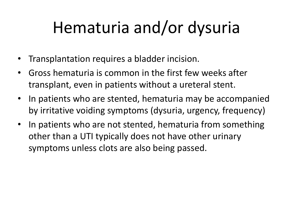#### Hematuria and/or dysuria

- Transplantation requires a bladder incision.
- Gross hematuria is common in the first few weeks after transplant, even in patients without a ureteral stent.
- In patients who are stented, hematuria may be accompanied by irritative voiding symptoms (dysuria, urgency, frequency)
- In patients who are not stented, hematuria from something other than a UTI typically does not have other urinary symptoms unless clots are also being passed.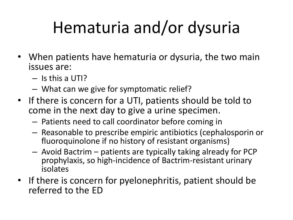# Hematuria and/or dysuria

- When patients have hematuria or dysuria, the two main issues are:
	- Is this a UTI?
	- What can we give for symptomatic relief?
- If there is concern for a UTI, patients should be told to come in the next day to give a urine specimen.
	- Patients need to call coordinator before coming in
	- Reasonable to prescribe empiric antibiotics (cephalosporin or fluoroquinolone if no history of resistant organisms)
	- Avoid Bactrim patients are typically taking already for PCP prophylaxis, so high-incidence of Bactrim-resistant urinary isolates
- If there is concern for pyelonephritis, patient should be referred to the ED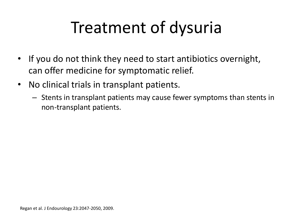#### Treatment of dysuria

- If you do not think they need to start antibiotics overnight, can offer medicine for symptomatic relief.
- No clinical trials in transplant patients.
	- Stents in transplant patients may cause fewer symptoms than stents in non-transplant patients.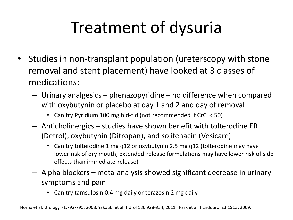# Treatment of dysuria

- Studies in non-transplant population (ureterscopy with stone removal and stent placement) have looked at 3 classes of medications:
	- Urinary analgesics phenazopyridine no difference when compared with oxybutynin or placebo at day 1 and 2 and day of removal
		- Can try Pyridium 100 mg bid-tid (not recommended if CrCl < 50)
	- Anticholinergics studies have shown benefit with tolterodine ER (Detrol), oxybutynin (Ditropan), and solifenacin (Vesicare)
		- Can try tolterodine 1 mg q12 or oxybutynin 2.5 mg q12 (tolterodine may have lower risk of dry mouth; extended-release formulations may have lower risk of side effects than immediate-release)
	- Alpha blockers meta-analysis showed significant decrease in urinary symptoms and pain
		- Can try tamsulosin 0.4 mg daily or terazosin 2 mg daily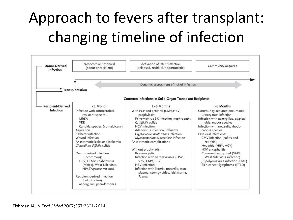#### Approach to fevers after transplant: changing timeline of infection

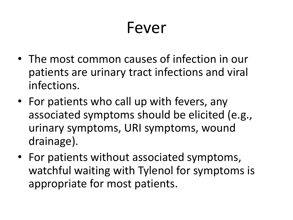#### Fever

- The most common causes of infection in our patients are urinary tract infections and viral infections.
- For patients who call up with fevers, any associated symptoms should be elicited (e.g., urinary symptoms, URI symptoms, wound drainage).
- For patients without associated symptoms, watchful waiting with Tylenol for symptoms is appropriate for most patients.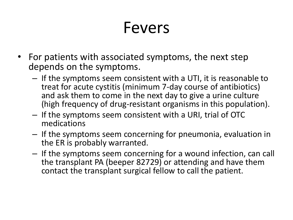#### Fevers

- For patients with associated symptoms, the next step depends on the symptoms.
	- If the symptoms seem consistent with a UTI, it is reasonable to treat for acute cystitis (minimum 7-day course of antibiotics) and ask them to come in the next day to give a urine culture (high frequency of drug-resistant organisms in this population).
	- If the symptoms seem consistent with a URI, trial of OTC medications
	- If the symptoms seem concerning for pneumonia, evaluation in the ER is probably warranted.
	- If the symptoms seem concerning for a wound infection, can call the transplant PA (beeper 82729) or attending and have them contact the transplant surgical fellow to call the patient.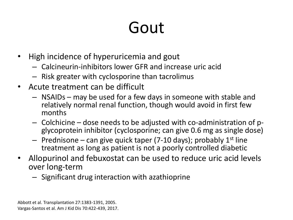# Gout

- High incidence of hyperuricemia and gout
	- Calcineurin-inhibitors lower GFR and increase uric acid
	- Risk greater with cyclosporine than tacrolimus
- Acute treatment can be difficult
	- NSAIDs may be used for a few days in someone with stable and relatively normal renal function, though would avoid in first few months
	- Colchicine dose needs to be adjusted with co-administration of pglycoprotein inhibitor (cyclosporine; can give 0.6 mg as single dose)
	- $-$  Prednisone can give quick taper (7-10 days); probably 1<sup>st</sup> line treatment as long as patient is not a poorly controlled diabetic
- Allopurinol and febuxostat can be used to reduce uric acid levels over long-term
	- Significant drug interaction with azathioprine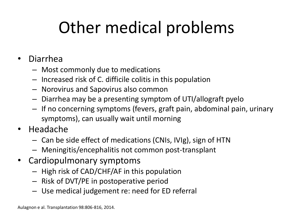#### Other medical problems

#### • Diarrhea

- Most commonly due to medications
- Increased risk of C. difficile colitis in this population
- Norovirus and Sapovirus also common
- Diarrhea may be a presenting symptom of UTI/allograft pyelo
- If no concerning symptoms (fevers, graft pain, abdominal pain, urinary symptoms), can usually wait until morning
- Headache
	- Can be side effect of medications (CNIs, IVIg), sign of HTN
	- Meningitis/encephalitis not common post-transplant
- Cardiopulmonary symptoms
	- High risk of CAD/CHF/AF in this population
	- Risk of DVT/PE in postoperative period
	- Use medical judgement re: need for ED referral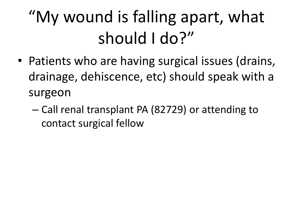# "My wound is falling apart, what should I do?"

- Patients who are having surgical issues (drains, drainage, dehiscence, etc) should speak with a surgeon
	- Call renal transplant PA (82729) or attending to contact surgical fellow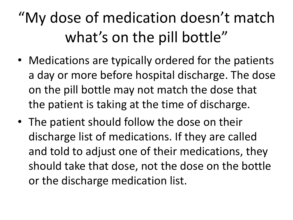#### "My dose of medication doesn't match what's on the pill bottle"

- Medications are typically ordered for the patients a day or more before hospital discharge. The dose on the pill bottle may not match the dose that the patient is taking at the time of discharge.
- The patient should follow the dose on their discharge list of medications. If they are called and told to adjust one of their medications, they should take that dose, not the dose on the bottle or the discharge medication list.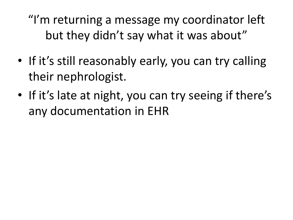"I'm returning a message my coordinator left but they didn't say what it was about"

- If it's still reasonably early, you can try calling their nephrologist.
- If it's late at night, you can try seeing if there's any documentation in EHR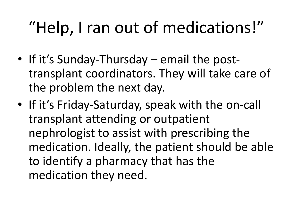### "Help, I ran out of medications!"

- If it's Sunday-Thursday email the posttransplant coordinators. They will take care of the problem the next day.
- If it's Friday-Saturday, speak with the on-call transplant attending or outpatient nephrologist to assist with prescribing the medication. Ideally, the patient should be able to identify a pharmacy that has the medication they need.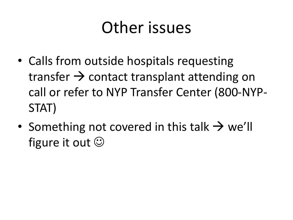#### Other issues

- Calls from outside hospitals requesting transfer  $\rightarrow$  contact transplant attending on call or refer to NYP Transfer Center (800-NYP-STAT)
- Something not covered in this talk  $\rightarrow$  we'll figure it out  $\odot$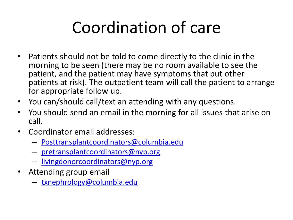#### Coordination of care

- Patients should not be told to come directly to the clinic in the morning to be seen (there may be no room available to see the patient, and the patient may have symptoms that put other patients at risk). The outpatient team will call the patient to arrange for appropriate follow up.
- You can/should call/text an attending with any questions.
- You should send an email in the morning for all issues that arise on call.
- Coordinator email addresses:
	- [Posttransplantcoordinators@columbia.edu](mailto:Posttransplantcoordinators@columbia.edu)
	- [pretransplantcoordinators@nyp.org](mailto:pretransplantcoordinators@nyp.org)
	- [livingdonorcoordinators@nyp.org](mailto:livingdonorcoordinators@nyp.org)
- Attending group email
	- [txnephrology@columbia.edu](https://cubmail.cc.columbia.edu/horde/imp/compose.php?to=Transplant+nephrology+attendings+<txnephrology@columbia.edu>&thismailbox=INBOX)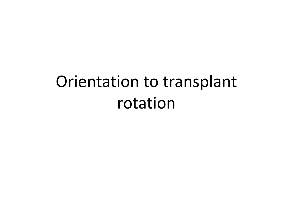#### Orientation to transplant rotation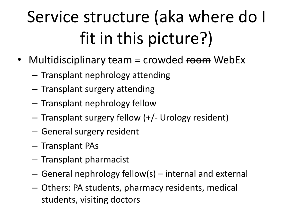# Service structure (aka where do I fit in this picture?)

- Multidisciplinary team = crowded room WebEx  $\bullet$ 
	- Transplant nephrology attending
	- Transplant surgery attending
	- Transplant nephrology fellow
	- Transplant surgery fellow (+/- Urology resident)
	- General surgery resident
	- Transplant PAs
	- Transplant pharmacist
	- General nephrology fellow(s) internal and external
	- Others: PA students, pharmacy residents, medical students, visiting doctors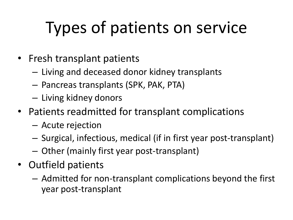# Types of patients on service

- Fresh transplant patients
	- Living and deceased donor kidney transplants
	- Pancreas transplants (SPK, PAK, PTA)
	- Living kidney donors
- Patients readmitted for transplant complications
	- Acute rejection
	- Surgical, infectious, medical (if in first year post-transplant)
	- Other (mainly first year post-transplant)
- Outfield patients
	- Admitted for non-transplant complications beyond the first year post-transplant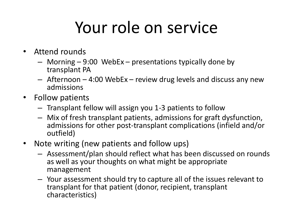#### Your role on service

- Attend rounds
	- Morning 9:00 WebEx presentations typically done by transplant PA
	- Afternoon 4:00 WebEx review drug levels and discuss any new admissions
- Follow patients
	- Transplant fellow will assign you 1-3 patients to follow
	- Mix of fresh transplant patients, admissions for graft dysfunction, admissions for other post-transplant complications (infield and/or outfield)
- Note writing (new patients and follow ups)
	- Assessment/plan should reflect what has been discussed on rounds as well as your thoughts on what might be appropriate management
	- Your assessment should try to capture all of the issues relevant to transplant for that patient (donor, recipient, transplant characteristics)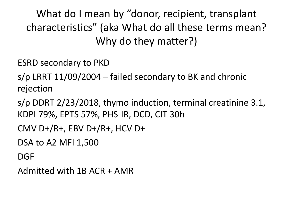What do I mean by "donor, recipient, transplant characteristics" (aka What do all these terms mean? Why do they matter?)

ESRD secondary to PKD

s/p LRRT 11/09/2004 – failed secondary to BK and chronic rejection

s/p DDRT 2/23/2018, thymo induction, terminal creatinine 3.1, KDPI 79%, EPTS 57%, PHS-IR, DCD, CIT 30h

CMV D+/R+, EBV D+/R+, HCV D+

DSA to A2 MFI 1,500

DGF

Admitted with 1B ACR + AMR